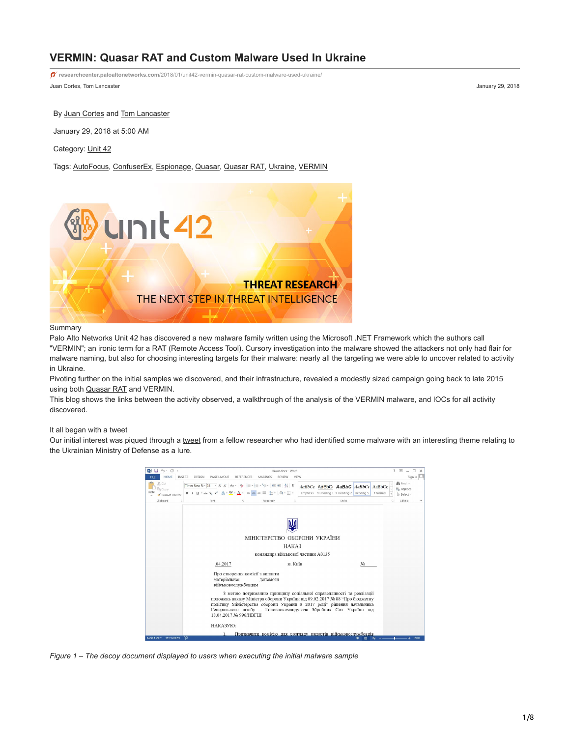# **VERMIN: Quasar RAT and Custom Malware Used In Ukraine**

Juan Cortes, Tom Lancaster January 29, 2018 **researchcenter.paloaltonetworks.com**[/2018/01/unit42-vermin-quasar-rat-custom-malware-used-ukraine/](https://researchcenter.paloaltonetworks.com/2018/01/unit42-vermin-quasar-rat-custom-malware-used-ukraine/)

By [Juan Cortes](https://unit42.paloaltonetworks.com/author/juan-cortes/) and [Tom Lancaster](https://unit42.paloaltonetworks.com/author/tom-lancaster/)

January 29, 2018 at 5:00 AM

Category: [Unit 42](https://unit42.paloaltonetworks.com/category/unit42/)

Tags: [AutoFocus,](https://unit42.paloaltonetworks.com/tag/autofocus/) [ConfuserEx](https://unit42.paloaltonetworks.com/tag/confuserex/), [Espionage,](https://unit42.paloaltonetworks.com/tag/espionage/) [Quasar](https://unit42.paloaltonetworks.com/tag/quasar/), [Quasar RAT](https://unit42.paloaltonetworks.com/tag/quasar-rat/), [Ukraine](https://unit42.paloaltonetworks.com/tag/ukraine/), [VERMIN](https://unit42.paloaltonetworks.com/tag/vermin/)



### **Summary**

Palo Alto Networks Unit 42 has discovered a new malware family written using the Microsoft .NET Framework which the authors call "VERMIN"; an ironic term for a RAT (Remote Access Tool). Cursory investigation into the malware showed the attackers not only had flair for malware naming, but also for choosing interesting targets for their malware: nearly all the targeting we were able to uncover related to activity in Ukraine.

Pivoting further on the initial samples we discovered, and their infrastructure, revealed a modestly sized campaign going back to late 2015 using both [Quasar RAT](https://github.com/quasar/QuasarRAT) and VERMIN.

This blog shows the links between the activity observed, a walkthrough of the analysis of the VERMIN malware, and IOCs for all activity discovered.

### It all began with a tweet

Our initial interest was piqued through a [tweet](https://twitter.com/blu3_team/status/917050823724732419) from a fellow researcher who had identified some malware with an interesting theme relating to the Ukrainian Ministry of Defense as a lure.

| $\blacksquare$ $\blacksquare$ $\lozenge$ $\cdot$ $\circ$ $\lightharpoonup$ | Haxax.docx - Word                                                                                                                                                                                                                                                                                                          | 图<br>$\overline{?}$<br>п<br>÷                          |
|----------------------------------------------------------------------------|----------------------------------------------------------------------------------------------------------------------------------------------------------------------------------------------------------------------------------------------------------------------------------------------------------------------------|--------------------------------------------------------|
| <b>HOME</b><br><b>INSERT</b>                                               | DESIGN<br>PAGE LAYOU'<br>MAILINGS<br>REVIEW<br>VIEW                                                                                                                                                                                                                                                                        | Sign in                                                |
| X Cut<br>Copy<br>Format Painter                                            | 扫·扫·阳·神理 划 11<br>Times New $\text{Rc}$ + 14 + A A<br>$Aa -$<br>AaBbCc AaBbCi AaBbC AaBbCc AaBbCc<br>$\equiv \equiv \equiv \equiv \equiv \cdot \Delta \cdot \boxplus \cdot$<br>Emphasis 1 Heading 1 1 Heading 2 Heading 5<br>B $I \cup \cdot$ abe $X_2 \times \cdot \cdot \cdot A \cdot \cdot \cdot A$                      | 静Find *<br>Replace<br>1 Normal<br>> Select -           |
| Clipboard<br>$\mathbb{F}_2$                                                | Styles<br>Font<br>r,<br>Paragraph<br>斥                                                                                                                                                                                                                                                                                     | Editing<br>$\overline{r_k}$<br>$\widehat{\phantom{a}}$ |
|                                                                            | МІНІСТЕРСТВО ОБОРОНИ УКРАЇНИ                                                                                                                                                                                                                                                                                               |                                                        |
|                                                                            | HAKA3                                                                                                                                                                                                                                                                                                                      |                                                        |
|                                                                            | командира військової частини А0135                                                                                                                                                                                                                                                                                         |                                                        |
|                                                                            | .04.2017<br>м. Київ<br>No                                                                                                                                                                                                                                                                                                  |                                                        |
|                                                                            | Про створення комісії з виплати<br>матеріальної<br>допомоги<br>військовослужбовцям                                                                                                                                                                                                                                         |                                                        |
|                                                                            | 3 метою дотриманню принципу соціальної справедливості та реалізації<br>положень наказу Міністра оборони України від 09.02.2017 № 88 "Про бюджетну<br>політику Міністерства оборони України в 2017 році" рішення начальника<br>Генерального штабу - Головнокомандувача Збройних Сил України від<br>18.04.2017 No 996/HBFIII |                                                        |
|                                                                            | HAKA3YIO:                                                                                                                                                                                                                                                                                                                  |                                                        |
| PAGE 1 OF 2 222 WORDS                                                      | Призначити комісію для розгляду рапортів військовослужбовців                                                                                                                                                                                                                                                               | 100%                                                   |

*Figure 1 – The decoy document displayed to users when executing the initial malware sample*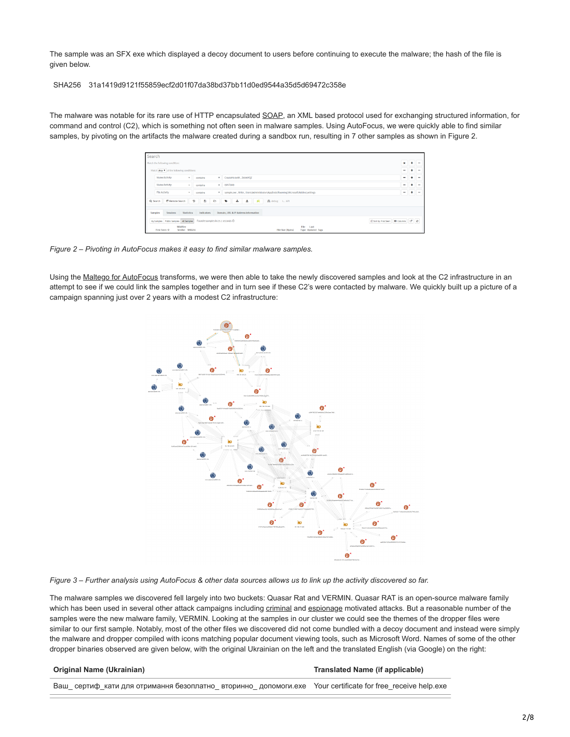The sample was an SFX exe which displayed a decoy document to users before continuing to execute the malware; the hash of the file is given below.

SHA256 31a1419d9121f55859ecf2d01f07da38bd37bb11d0ed9544a35d5d69472c358e

The malware was notable for its rare use of HTTP encapsulated [SOAP](https://en.wikipedia.org/wiki/SOAP), an XML based protocol used for exchanging structured information, for command and control (C2), which is something not often seen in malware samples. Using AutoFocus, we were quickly able to find similar samples, by pivoting on the artifacts the malware created during a sandbox run, resulting in 7 other samples as shown in Figure 2.

| Search                                                                                                                      |                                              |                               |               |
|-----------------------------------------------------------------------------------------------------------------------------|----------------------------------------------|-------------------------------|---------------|
| Match the following condition:                                                                                              |                                              |                               | ٠<br>$\cdots$ |
| Match Any v of the following conditions:                                                                                    | ٠                                            |                               | $\cdots$      |
| Mutex Activity<br>CreateMutexW, Z6340YQZ<br>$\mathbf{v}$<br>$\sim$<br>contains                                              | $\overline{\phantom{0}}$                     | ٠                             | $\cdots$      |
| Mutex Activity<br><b>HNTOH9</b><br>$\mathbf{v}$<br>$\;$<br>contains                                                         |                                              | $\overline{\phantom{0}}$<br>٠ | <b>STA</b>    |
| File Activity<br>v   sample.exe, Write, Users\Administrator\AppData\Roaming\Microsoft\Addins\settings<br>$\sim$<br>contains | $\qquad \qquad \blacksquare$                 |                               | $\cdots$      |
| Đ<br><b>E</b> Remote Search<br>$\triangleright$<br>$\bullet$<br>土<br>M<br>O<br>土<br>A debug > API<br>Q Search               |                                              |                               |               |
| Statistics<br>Domain, URL & IP Address Information<br>Sessions<br>Indicators<br><b>Samples</b>                              |                                              |                               |               |
| Found 8 samples in 25.1 seconds $\odot$<br>My Samples Public Samples All Samples                                            | It's ort by: First Seen   El Columns   C   C |                               |               |
| WildFire<br>File<br>Last<br>First Seen $\psi$<br>Verdict SHA256<br>File Size (Bytes)<br><b>Type Updated Tags</b>            |                                              |                               |               |

*Figure 2 – Pivoting in AutoFocus makes it easy to find similar malware samples.*

Using the [Maltego for AutoFocus](https://live.paloaltonetworks.com/t5/Maltego-for-AutoFocus/ct-p/AutoFocus_Maltego) transforms, we were then able to take the newly discovered samples and look at the C2 infrastructure in an attempt to see if we could link the samples together and in turn see if these C2's were contacted by malware. We quickly built up a picture of a campaign spanning just over 2 years with a modest C2 infrastructure:



*Figure 3 – Further analysis using AutoFocus & other data sources allows us to link up the activity discovered so far.*

The malware samples we discovered fell largely into two buckets: Quasar Rat and VERMIN. Quasar RAT is an open-source malware family which has been used in several other attack campaigns including [criminal](https://community.rsa.com/community/products/netwitness/blog/2017/10/02/malspam-delivers-rat-spyware-quasar-9-27-2017) and [espionage](https://blog.paloaltonetworks.com/2017/01/unit42-downeks-and-quasar-rat-used-in-recent-targeted-attacks-against-governments/) motivated attacks. But a reasonable number of the samples were the new malware family, VERMIN. Looking at the samples in our cluster we could see the themes of the dropper files were similar to our first sample. Notably, most of the other files we discovered did not come bundled with a decoy document and instead were simply the malware and dropper compiled with icons matching popular document viewing tools, such as Microsoft Word. Names of some of the other dropper binaries observed are given below, with the original Ukrainian on the left and the translated English (via Google) on the right:

#### **Translated Name (if applicable)**

Ваш\_ сертиф\_кати для отримання безоплатно\_ вторинно\_ допомоги.exe Your certificate for free\_receive help.exe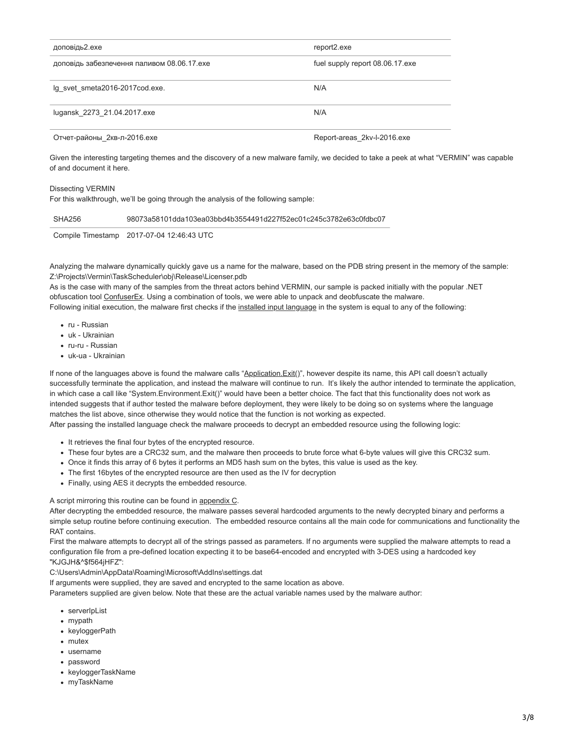| доповідь2.ехе                              | report2.exe                     |
|--------------------------------------------|---------------------------------|
| доповідь забезпечення паливом 08.06.17 ехе | fuel supply report 08.06.17 exe |
| Ig svet smeta2016-2017cod.exe.             | N/A                             |
| lugansk 2273 21.04.2017.exe                | N/A                             |
| Отчет-районы 2кв-л-2016.ехе                | Report-areas 2kv-l-2016.exe     |

Given the interesting targeting themes and the discovery of a new malware family, we decided to take a peek at what "VERMIN" was capable of and document it here.

#### Dissecting VERMIN

For this walkthrough, we'll be going through the analysis of the following sample:

| SHA256 | 98073a58101dda103ea03bbd4b3554491d227f52ec01c245c3782e63c0fdbc07 |
|--------|------------------------------------------------------------------|
|--------|------------------------------------------------------------------|

Compile Timestamp 2017-07-04 12:46:43 UTC

Analyzing the malware dynamically quickly gave us a name for the malware, based on the PDB string present in the memory of the sample: Z:\Projects\Vermin\TaskScheduler\obj\Release\Licenser.pdb

As is the case with many of the samples from the threat actors behind VERMIN, our sample is packed initially with the popular .NET obfuscation tool [ConfuserEx](https://yck1509.github.io/ConfuserEx/). Using a combination of tools, we were able to unpack and deobfuscate the malware. Following initial execution, the malware first checks if the [installed input language](https://technet.microsoft.com/en-us/library/cc766191(v=ws.10).aspx) in the system is equal to any of the following:

- ru Russian
- uk Ukrainian
- ru-ru Russian
- uk-ua Ukrainian

If none of the languages above is found the malware calls "Application. Exit()", however despite its name, this API call doesn't actually successfully terminate the application, and instead the malware will continue to run. It's likely the author intended to terminate the application, in which case a call like "System.Environment.Exit()" would have been a better choice. The fact that this functionality does not work as intended suggests that if author tested the malware before deployment, they were likely to be doing so on systems where the language matches the list above, since otherwise they would notice that the function is not working as expected.

After passing the installed language check the malware proceeds to decrypt an embedded resource using the following logic:

- It retrieves the final four bytes of the encrypted resource.
- These four bytes are a CRC32 sum, and the malware then proceeds to brute force what 6-byte values will give this CRC32 sum.
- Once it finds this array of 6 bytes it performs an MD5 hash sum on the bytes, this value is used as the key.
- The first 16bytes of the encrypted resource are then used as the IV for decryption
- Finally, using AES it decrypts the embedded resource.

A script mirroring this routine can be found in appendix C.

After decrypting the embedded resource, the malware passes several hardcoded arguments to the newly decrypted binary and performs a simple setup routine before continuing execution. The embedded resource contains all the main code for communications and functionality the RAT contains.

First the malware attempts to decrypt all of the strings passed as parameters. If no arguments were supplied the malware attempts to read a configuration file from a pre-defined location expecting it to be base64-encoded and encrypted with 3-DES using a hardcoded key "KJGJH&^\$f564jHFZ":

C:\Users\Admin\AppData\Roaming\Microsoft\AddIns\settings.dat

If arguments were supplied, they are saved and encrypted to the same location as above.

Parameters supplied are given below. Note that these are the actual variable names used by the malware author:

- serverIpList
- mypath
- keyloggerPath
- mutex
- username
- password
- keyloggerTaskName
- myTaskName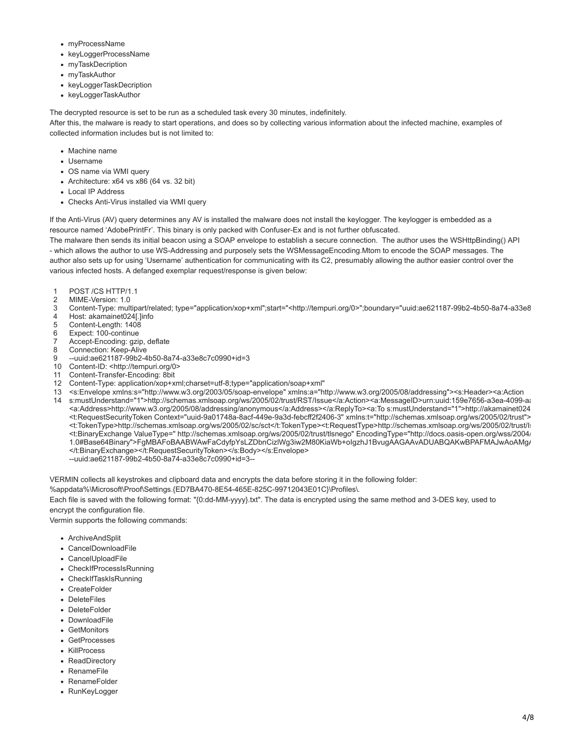- myProcessName
- keyLoggerProcessName
- mvTaskDecription
- myTaskAuthor
- keyLoggerTaskDecription
- keyLoggerTaskAuthor

The decrypted resource is set to be run as a scheduled task every 30 minutes, indefinitely.

After this, the malware is ready to start operations, and does so by collecting various information about the infected machine, examples of collected information includes but is not limited to:

- Machine name
- Username
- OS name via WMI query
- Architecture: x64 vs x86 (64 vs. 32 bit)
- Local IP Address
- Checks Anti-Virus installed via WMI query

If the Anti-Virus (AV) query determines any AV is installed the malware does not install the keylogger. The keylogger is embedded as a resource named 'AdobePrintFr'. This binary is only packed with Confuser-Ex and is not further obfuscated.

The malware then sends its initial beacon using a SOAP envelope to establish a secure connection. The author uses the WSHttpBinding() API - which allows the author to use WS-Addressing and purposely sets the WSMessageEncoding.Mtom to encode the SOAP messages. The author also sets up for using 'Username' authentication for communicating with its C2, presumably allowing the author easier control over the various infected hosts. A defanged exemplar request/response is given below:

- 1 POST /CS HTTP/1.1
- 2 MIME-Version: 1.0
- 3 Content-Type: multipart/related; type="application/xop+xml";start="<http://tempuri.org/0>";boundary="uuid:ae621187-99b2-4b50-8a74-a33e8
- 4 Host: akamainet024[.]info
- 5 Content-Length: 1408
- 6 Expect: 100-continue
- 7 Accept-Encoding: gzip, deflate
- 8 Connection: Keep-Alive
- 9 --uuid:ae621187-99b2-4b50-8a74-a33e8c7c0990+id=3
- 10 Content-ID: <http://tempuri.org/0>
- 11 Content-Transfer-Encoding: 8bit
- 12 Content-Type: application/xop+xml;charset=utf-8;type="application/soap+xml"
- 13 <s:Envelope xmlns:s="http://www.w3.org/2003/05/soap-envelope" xmlns:a="http://www.w3.org/2005/08/addressing"><s:Header><a:Action
- 14 s:mustUnderstand="1">http://schemas.xmlsoap.org/ws/2005/02/trust/RST/Issue</a:Action><a:MessageID>urn:uuid:159e7656-a3ea-4099-aa <a:Address>http://www.w3.org/2005/08/addressing/anonymous</a:Address></a:ReplyTo><a:To s:mustUnderstand="1">http://akamainet024 <t:RequestSecurityToken Context="uuid-9a01748a-8acf-449e-9a3d-febcff2f2406-3" xmlns:t="http://schemas.xmlsoap.org/ws/2005/02/trust"> <t:TokenType>http://schemas.xmlsoap.org/ws/2005/02/sc/sct</t:TokenType><t:RequestType>http://schemas.xmlsoap.org/ws/2005/02/trust/Is <t:BinaryExchange ValueType=" http://schemas.xmlsoap.org/ws/2005/02/trust/tlsnego" EncodingType="http://docs.oasis-open.org/wss/2004/ 1.0#Base64Binary">FgMBAFoBAABWAwFaCdyfpYsLZDbnCizlWg3iw2M80KiaWb+oIgzhJ1BvugAAGAAvADUABQAKwBPAFMAJwAoAMgA </t:BinaryExchange></t:RequestSecurityToken></s:Body></s:Envelope> --uuid:ae621187-99b2-4b50-8a74-a33e8c7c0990+id=3--

VERMIN collects all keystrokes and clipboard data and encrypts the data before storing it in the following folder:

%appdata%\Microsoft\Proof\Settings.{ED7BA470-8E54-465E-825C-99712043E01C}\Profiles\.

Each file is saved with the following format: "{0:dd-MM-yyyy}.txt". The data is encrypted using the same method and 3-DES key, used to encrypt the configuration file.

Vermin supports the following commands:

- ArchiveAndSplit
- CancelDownloadFile
- CancelUploadFile
- CheckIfProcessIsRunning
- CheckIfTaskIsRunning
- CreateFolder
- DeleteFiles
- DeleteFolder
- DownloadFile
- GetMonitors
- GetProcesses
- KillProcess
- ReadDirectory
- RenameFile
- RenameFolder
- RunKeyLogger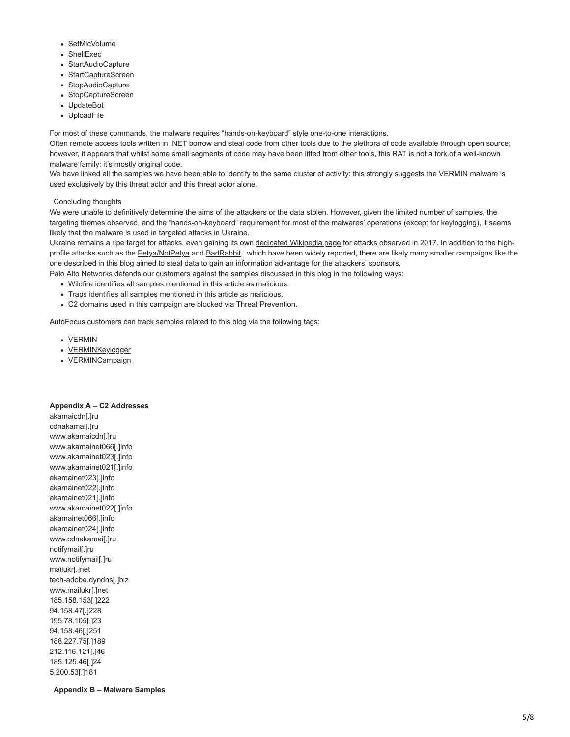- SetMicVolume
- ShellExec
- StartAudioCapture
- StartCaptureScreen
- StopAudioCapture
- StopCaptureScreen
- UpdateBot
- UploadFile

For most of these commands, the malware requires "hands-on-keyboard" style one-to-one interactions.

Often remote access tools written in .NET borrow and steal code from other tools due to the plethora of code available through open source; however, it appears that whilst some small segments of code may have been lifted from other tools, this RAT is not a fork of a well-known malware family: it's mostly original code.

We have linked all the samples we have been able to identify to the same cluster of activity: this strongly suggests the VERMIN malware is used exclusively by this threat actor and this threat actor alone.

#### Concluding thoughts

We were unable to definitively determine the aims of the attackers or the data stolen. However, given the limited number of samples, the targeting themes observed, and the "hands-on-keyboard" requirement for most of the malwares' operations (except for keylogging), it seems likely that the malware is used in targeted attacks in Ukraine.

Ukraine remains a ripe target for attacks, even gaining its own [dedicated Wikipedia page](https://en.wikipedia.org/wiki/2017_cyberattacks_on_Ukraine) for attacks observed in 2017. In addition to the high-profile attacks such as the [Petya/NotPetya](https://www.theregister.co.uk/2017/06/28/petya_notpetya_ransomware/) and [BadRabbit,](https://www.crowdstrike.com/blog/badrabbit-ms17-010-exploitation-part-one-leak-and-control/) which have been widely reported, there are likely many smaller campaigns like the one described in this blog aimed to steal data to gain an information advantage for the attackers' sponsors.

Palo Alto Networks defends our customers against the samples discussed in this blog in the following ways:

- Wildfire identifies all samples mentioned in this article as malicious.
- Traps identifies all samples mentioned in this article as malicious.
- C2 domains used in this campaign are blocked via Threat Prevention.

AutoFocus customers can track samples related to this blog via the following tags:

- [VERMIN](https://autofocus.paloaltonetworks.com/#/tag/Unit42.VERMIN%20https://autofocus.paloaltonetworks.com/#/tag/Unit42.VERMINCampaign%20https://autofocus.paloaltonetworks.com/#/tag/Unit42.VERMIN)
- **[VERMINKeylogger](https://autofocus.paloaltonetworks.com/#/tag/Unit42.VERMIN%20https://autofocus.paloaltonetworks.com/#/tag/Unit42.VERMINCampaign%20https://autofocus.paloaltonetworks.com/#/tag/Unit42.VERMINKeyLogger)**
- [VERMINCampaign](https://autofocus.paloaltonetworks.com/#/tag/Unit42.VERMIN%20https://autofocus.paloaltonetworks.com/#/tag/Unit42.VERMINCampaign%20https://autofocus.paloaltonetworks.com/#/tag/Unit42.VERMINCampaign)

#### **Appendix A – C2 Addresses**

akamaicdn[.]ru cdnakamai[.]ru www.akamaicdn[.]ru www.akamainet066[.]info www.akamainet023[.]info www.akamainet021[.]info akamainet023[.]info akamainet022[.]info akamainet021[.]info www.akamainet022[.]info akamainet066[.]info akamainet024[.]info www.cdnakamai[.]ru notifymail[.]ru www.notifymail[.]ru mailukr[.]net tech-adobe.dyndns[.]biz www.mailukr[.]net 185.158.153[.]222 94.158.47[.]228 195.78.105[.]23 94.158.46[.]251 188.227.75[.]189 212.116.121[.]46 185.125.46[.]24 5.200.53[.]181

**Appendix B – Malware Samples**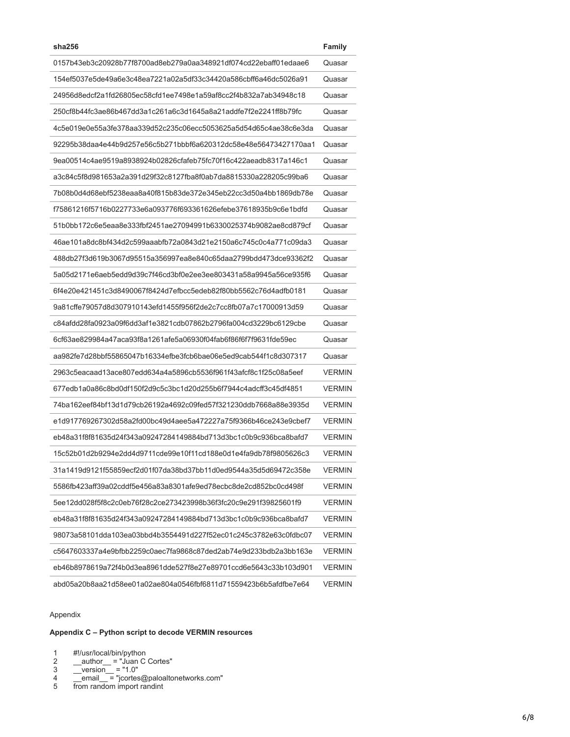| sha256                                                           | Family        |
|------------------------------------------------------------------|---------------|
| 0157b43eb3c20928b77f8700ad8eb279a0aa348921df074cd22ebaff01edaae6 | Quasar        |
| 154ef5037e5de49a6e3c48ea7221a02a5df33c34420a586cbff6a46dc5026a91 | Quasar        |
| 24956d8edcf2a1fd26805ec58cfd1ee7498e1a59af8cc2f4b832a7ab34948c18 | Quasar        |
| 250cf8b44fc3ae86b467dd3a1c261a6c3d1645a8a21addfe7f2e2241ff8b79fc | Quasar        |
| 4c5e019e0e55a3fe378aa339d52c235c06ecc5053625a5d54d65c4ae38c6e3da | Quasar        |
| 92295b38daa4e44b9d257e56c5b271bbbf6a620312dc58e48e56473427170aa1 | Quasar        |
| 9ea00514c4ae9519a8938924b02826cfafeb75fc70f16c422aeadb8317a146c1 | Quasar        |
| a3c84c5f8d981653a2a391d29f32c8127fba8f0ab7da8815330a228205c99ba6 | Quasar        |
| 7b08b0d4d68ebf5238eaa8a40f815b83de372e345eb22cc3d50a4bb1869db78e | Quasar        |
| f75861216f5716b0227733e6a093776f693361626efebe37618935b9c6e1bdfd | Quasar        |
| 51b0bb172c6e5eaa8e333fbf2451ae27094991b6330025374b9082ae8cd879cf | Quasar        |
| 46ae101a8dc8bf434d2c599aaabfb72a0843d21e2150a6c745c0c4a771c09da3 | Quasar        |
| 488db27f3d619b3067d95515a356997ea8e840c65daa2799bdd473dce93362f2 | Quasar        |
| 5a05d2171e6aeb5edd9d39c7f46cd3bf0e2ee3ee803431a58a9945a56ce935f6 | Quasar        |
| 6f4e20e421451c3d8490067f8424d7efbcc5edeb82f80bb5562c76d4adfb0181 | Quasar        |
| 9a81cffe79057d8d307910143efd1455f956f2de2c7cc8fb07a7c17000913d59 | Quasar        |
| c84afdd28fa0923a09f6dd3af1e3821cdb07862b2796fa004cd3229bc6129cbe | Quasar        |
| 6cf63ae829984a47aca93f8a1261afe5a06930f04fab6f86f6f7f9631fde59ec | Quasar        |
| aa982fe7d28bbf55865047b16334efbe3fcb6bae06e5ed9cab544f1c8d307317 | Quasar        |
| 2963c5eacaad13ace807edd634a4a5896cb5536f961f43afcf8c1f25c08a5eef | <b>VERMIN</b> |
| 677edb1a0a86c8bd0df150f2d9c5c3bc1d20d255b6f7944c4adcff3c45df4851 | <b>VERMIN</b> |
| 74ba162eef84bf13d1d79cb26192a4692c09fed57f321230ddb7668a88e3935d | <b>VERMIN</b> |
| e1d917769267302d58a2fd00bc49d4aee5a472227a75f9366b46ce243e9cbef7 | <b>VERMIN</b> |
| eb48a31f8f81635d24f343a09247284149884bd713d3bc1c0b9c936bca8bafd7 | <b>VERMIN</b> |
| 15c52b01d2b9294e2dd4d9711cde99e10f11cd188e0d1e4fa9db78f9805626c3 | <b>VERMIN</b> |
| 31a1419d9121f55859ecf2d01f07da38bd37bb11d0ed9544a35d5d69472c358e | <b>VERMIN</b> |
| 5586fb423aff39a02cddf5e456a83a8301afe9ed78ecbc8de2cd852bc0cd498f | <b>VERMIN</b> |
| 5ee12dd028f5f8c2c0eb76f28c2ce273423998b36f3fc20c9e291f39825601f9 | <b>VERMIN</b> |
| eb48a31f8f81635d24f343a09247284149884bd713d3bc1c0b9c936bca8bafd7 | <b>VERMIN</b> |
| 98073a58101dda103ea03bbd4b3554491d227f52ec01c245c3782e63c0fdbc07 | <b>VERMIN</b> |
| c5647603337a4e9bfbb2259c0aec7fa9868c87ded2ab74e9d233bdb2a3bb163e | <b>VERMIN</b> |
| eb46b8978619a72f4b0d3ea8961dde527f8e27e89701ccd6e5643c33b103d901 | <b>VERMIN</b> |
| abd05a20b8aa21d58ee01a02ae804a0546fbf6811d71559423b6b5afdfbe7e64 | <b>VERMIN</b> |
|                                                                  |               |

# Appendix

## **Appendix C – Python script to decode VERMIN resources**

1 #!/usr/local/bin/python

- 2 \_\_author\_\_ = "Juan C Cortes"
- 3  $version = "1.0"$
- 4 email\_ = "jcortes@paloaltonetworks.com"
- 5 from random import randint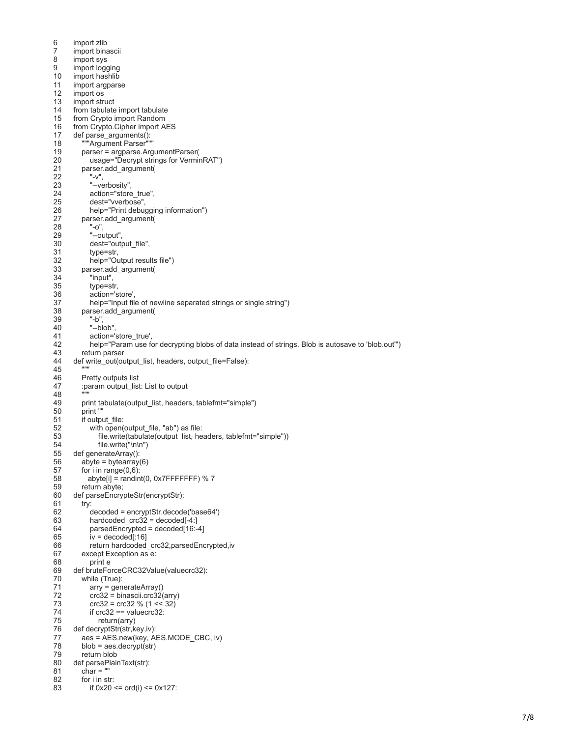6<br>7<br>8<br>9 10<br>11 12 13 14 15 16 17 18 19 20 21 22 23 24 25 26 27 28 29 30 31 32 33 34 35 36 37 38 39 40 41 42 43 44 45 46 47 48 49 50 51 52 53 54 55 56 57 58 59 60 61 62 63 64 65 66 67 68 69 70 71 72 73 74 75 76 77 78 79 80 81 82 83 import zlib import binascii import sys import logging import hashlib import argparse import os import struct from tabulate import tabulate from Crypto import Random from Crypto.Cipher import AES def parse\_arguments ( ): "Argument Parser" parser = argparse.ArgumentParser ( usage ="Decrypt strings for VerminRAT" ) parser.add\_argument ( "-v", "--verbosity", action ="store\_true", dest ="vverbose", help ="Print debugging information" ) parser.add\_argument ( "-o", "--output", dest ="output\_file", type =str, help ="Output results file" ) parser.add\_argument ( "input", type =str, action ='store', help="Input file of newline separated strings or single string") parser.add\_argument ( "-b", "--blob", action ='store\_true', help ="Param use for decrypting blobs of data instead of strings. Blob is autosave to 'blob.out'" ) return parser def write\_out(output\_list, headers, output\_file=False): "" " Pretty outputs list :param output\_list: List to output """ print tabulate (output\_list, headers, tablefmt ="simple" ) print "" if output\_file: with open (output\_file, "ab" ) as file: file.write(tabulate(output\_list, headers, tablefmt="simple")) file.write ("\n\n" ) def generateArray ( ): abyte = bytearray ( 6 ) for i in range (0,6 ): abyte[i] = randint ( 0, 0x7FFFFFFF ) % 7 return abyte; def parseEncrypteStr (encryptStr ): try: decoded = encryptStr.decode ('base64' ) hardcoded\_crc32 = decoded[- 4:] parsedEncrypted = decoded[16:- 4] iv = decoded[:16] return hardcoded\_crc32,parsedEncrypted,iv except Exception as e: print e def bruteForceCRC32Value (valuecrc32 ): while ( True ): arry = generateArray ( ) crc32 = binascii.crc32 (arry ) crc32 = crc32 % ( 1 << 32 ) if  $crc32 == valuecrc32$ : return (arry ) def decryptStr (str,key,iv ): aes = AES.new (key, AES.MODE\_CBC, iv ) blob = aes.decrypt (str ) return blob def parsePlainText (str ): char = "" for i in str: if 0x20 <= ord (i) <= 0x127: